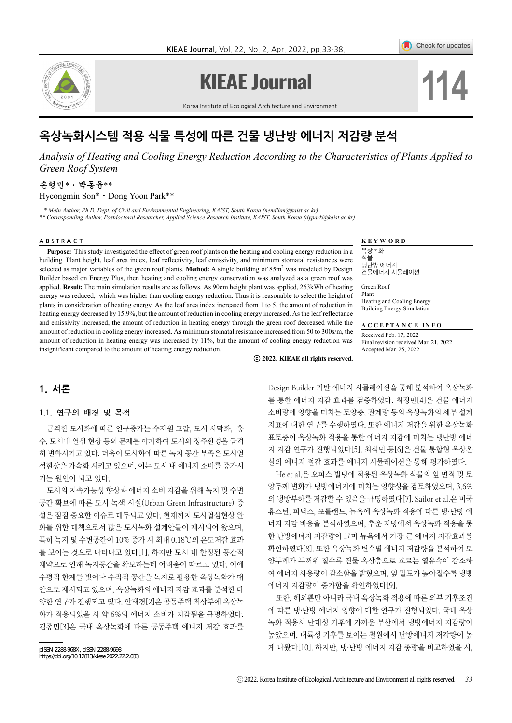

# **KIEAE Journal**

Korea Institute of Ecological Architecture and Environment



Check for updates

 $\bullet$ 

# 옥상녹화시스템 적용 식물 특성에 따른 건물 냉난방 에너지 저감량 분석

*Analysis of Heating and Cooling Energy Reduction According to the Characteristics of Plants Applied to Green Roof System*

# 손형민\*⋅박동윤\*\* Hyeongmin Son\*⋅Dong Yoon Park\*\*

 *\* Main Author, Ph.D, Dept. of Civil and Environmental Engineering, KAIST, South Korea (nemilhm@kaist.ac.kr)*

*\*\* Corresponding Author, Postdoctoral Researcher, Applied Science Research Institute, KAIST, South Korea (dypark@kaist.ac.kr)*

### ABSTRACT **KEYWORD**

**Purpose:** This study investigated the effect of green roof plants on the heating and cooling energy reduction in a building. Plant height, leaf area index, leaf reflectivity, leaf emissivity, and minimum stomatal resistances were selected as major variables of the green roof plants. Method: A single building of 85m<sup>2</sup> was modeled by Design Builder based on Energy Plus, then heating and cooling energy conservation was analyzed as a green roof was applied. **Result:** The main simulation results are as follows. As 90cm height plant was applied, 263kWh of heating energy was reduced, which was higher than cooling energy reduction. Thus it is reasonable to select the height of plants in consideration of heating energy. As the leaf area index increased from 1 to 5, the amount of reduction in heating energy decreased by 15.9%, but the amount of reduction in cooling energy increased. As the leaf reflectance and emissivity increased, the amount of reduction in heating energy through the green roof decreased while the amount of reduction in cooling energy increased. As minimum stomatal resistance increased from 50 to 300s/m, the amount of reduction in heating energy was increased by 11%, but the amount of cooling energy reduction was insignificant compared to the amount of heating energy reduction.

옥상녹화 식물 냉난방 에너지 건물에너지 시뮬레이션

Green Roof Plant Heating and Cooling Energy Building Energy Simulation

**A C C E P T A N C E I N F O** 

Received Feb. 17, 2022 Final revision received Mar. 21, 2022 Accepted Mar. 25, 2022

ⓒ **2022. KIEAE all rights reserved.**

# 1. 서론

#### 1.1. 연구의 배경 및 목적

급격한 도시화에 따른 인구증가는 수자원 고갈, 도시 사막화, 홍 수, 도시내 열섬 현상 등의 문제를 야기하여 도시의 정주환경을 급격 히 변화시키고 있다. 더욱이 도시화에 따른 녹지 공간 부족은 도시열 섬현상을 가속화 시키고 있으며, 이는 도시 내 에너지 소비를 증가시 키는 원인이 되고 있다.

도시의 지속가능성 향상과 에너지 소비 저감을 위해 녹지 및 수변 공간 확보에 따른 도시 녹색 시설(Urban Green Infrastructure) 증 설은 점점 중요한 이슈로 대두되고 있다. 현재까지 도시열섬현상 완 화를 위한 대책으로서 많은 도시녹화 설계안들이 제시되어 왔으며, 특히 녹지 및 수변공간이 10% 증가 시 최대 0.18℃의 온도저감 효과 를 보이는 것으로 나타나고 있다[1]. 하지만 도시 내 한정된 공간적 제약으로 인해 녹지공간을 확보하는데 어려움이 따르고 있다. 이에 수평적 한계를 벗어나 수직적 공간을 녹지로 활용한 옥상녹화가 대 안으로 제시되고 있으며, 옥상녹화의 에너지 저감 효과를 분석한 다 양한 연구가 진행되고 있다. 안태경[2]은 공동주택 최상부에 옥상녹 화가 적용되었을 시 약 6%의 에너지 소비가 저감됨을 규명하였다. 김종민[3]은 국내 옥상녹화에 따른 공동주택 에너지 저감 효과를

Design Builder 기반 에너지 시뮬레이션을 통해 분석하여 옥상녹화 를 통한 에너지 저감 효과를 검증하였다. 최정민[4]은 건물 에너지 소비량에 영향을 미치는 토양층, 관계량 등의 옥상녹화의 세부 설계 지표에 대한 연구를 수행하였다. 또한 에너지 저감을 위한 옥상녹화 표토층이 옥상녹화 적용을 통한 에너지 저감에 미치는 냉난방 에너 지 저감 연구가 진행되었다[5]. 최석민 등[6]은 건물 통합형 옥상온 실의 에너지 절감 효과를 에너지 시뮬레이션을 통해 평가하였다.

He et al.은 오피스 빌딩에 적용된 옥상녹화 식물의 잎 면적 및 토 양두께 변화가 냉방에너지에 미치는 영향성을 검토하였으며, 3.6% 의 냉방부하를 저감할 수 있음을 규명하였다[7]. Sailor et al.은 미국 휴스턴, 피닉스, 포틀랜드, 뉴욕에 옥상녹화 적용에 따른 냉·난방 에 너지 저감 비용을 분석하였으며, 추운 지방에서 옥상녹화 적용을 통 한 난방에너지 저감량이 크며 뉴욕에서 가장 큰 에너지 저감효과를 확인하였다[8]. 또한 옥상녹화 변수별 에너지 저감량을 분석하여 토 양두께가 두꺼워 질수록 건물 옥상층으로 흐르는 열유속이 감소하 여 에너지 사용량이 감소함을 밝혔으며, 잎 밀도가 높아질수록 냉방 에너지 저감량이 증가함을 확인하였다[9].

또한, 해외뿐만 아니라 국내 옥상녹화 적용에 따른 외부 기후조건 에 따른 냉·난방 에너지 영향에 대한 연구가 진행되었다. 국내 옥상 녹화 적용시 난대성 기후에 가까운 부산에서 냉방에너지 저감량이 높았으며, 대륙성 기후를 보이는 철원에서 난방에너지 저감량이 높 게 나왔다[10]. 하지만, 냉·난방 에너지 저감 총량을 비교하였을 시,

pISSN 2288‐968X, eISSN 2288‐9698 https://doi.org/10.12813/kieae.2022.22.2.033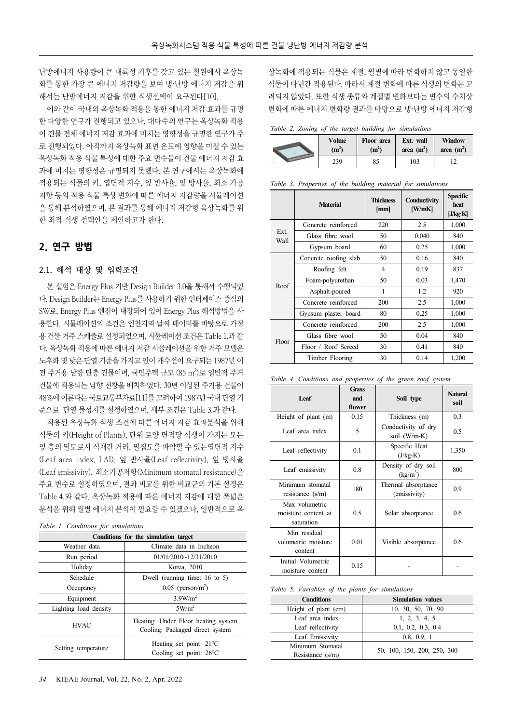난방에너지 사용량이 큰 대륙성 기후를 갖고 있는 철원에서 옥상녹 화를 통한 가장 큰 에너지 저감량을 보여 냉·난방 에너지 저감을 위 해서는 난방에너지 저감을 위한 식생선택이 요구된다[10].

이와 같이 국내외 옥상녹화 적용을 통한 에너지 저감 효과를 규명 한 다양한 연구가 진행되고 있으나, 대다수의 연구는 옥상녹화 적용 이 건물 전체 에너지 저감 효과에 미치는 영향성을 규명한 연구가 주 로 진행되었다. 아직까지 옥상녹화 표면 온도에 영향을 미칠 수 있는 옥상녹화 적용 식물 특성에 대한 주요 변수들이 건물 에너지 저감 효 과에 미치는 영향성은 규명되지 못했다. 본 연구에서는 옥상녹화에 적용되는 식물의 키, 엽면적 지수, 잎 반사율, 잎 방사율, 최소 기공 저항 등의 적용 식물 특성 변화에 따른 에너지 저감량을 시뮬레이션 을 통해 분석하였으며, 본 결과를 통해 에너지 저감형 옥상녹화를 위 한 최적 식생 선택안을 제안하고자 한다.

# 2. 연구 방법

# 2.1. 해석 대상 및 입력조건

본 실험은 Energy Plus 기반 Design Builder 3.0을 통해서 수행되었 다. Design Builder는 Energy Plus를 사용하기 위한 인터페이스 중심의 SW로, Energy Plus 엔진이 내장되어 있어 Energy Plus 해석방법을 사 용한다. 시뮬레이션의 조건은 인천지역 날씨 데이터를 바탕으로 가정 용 건물 거주 스케쥴로 설정되었으며, 시뮬레이션 조건은 Table 1.과 같 다. 옥상녹화 적용에 따른 에너지 저감 시뮬레이션을 위한 거주 모델은 노후화 및 낮은 단열 기준을 가지고 있어 개수선이 요구되는 1987년 이 전 주거용 남향 단층 건물이며, 국민주택 규모 (85 m<sup>2</sup>)로 일반적 주거 건물에 적용되는 남향 전창을 배치하였다. 30년 이상된 주거용 건물이 48%에 이른다는 국토교통부자료[11]를 고려하여 1987년 국내 단열 기 준으로 단열 물성치를 설정하였으며, 세부 조건은 Table 3.과 같다.

적용된 옥상녹화 식생 조건에 따른 에너지 저감 효과분석을 위해 식물의 키(Height of Plants), 단위 토양 면적당 식생이 가지는 모든 잎 층의 밀도로서 식재간 거리, 밀집도를 파악할 수 있는엽면적 지수 (Leaf area index, LAI), 잎 반사율(Leaf reflectivity), 잎 방사율 (Leaf emissivity), 최소기공저항(Minimum stomatal resistance)을 주요 변수로 설정하였으며, 결과 비교를 위한 비교군의 기본 설정은 Table 4.와 같다. 옥상녹화 적용에 따른 에너지 저감에 대한 폭넓은 분석을 위해 월별 에너지 분석이 필요할 수 있겠으나, 일반적으로 옥

| Table 1. Conditions for simulations |  |  |
|-------------------------------------|--|--|
|-------------------------------------|--|--|

| Conditions for the simulation target |                                                                        |  |
|--------------------------------------|------------------------------------------------------------------------|--|
| Weather data                         | Climate data in Incheon                                                |  |
| Run period                           | 01/01/2010~12/31/2010                                                  |  |
| Holiday                              | Korea, 2010                                                            |  |
| Schedule                             | Dwell (running time: $16$ to 5)                                        |  |
| Occupancy                            | $0.05$ (person/m <sup>2</sup> )                                        |  |
| Equipment                            | 3.9W/m <sup>2</sup>                                                    |  |
| Lighting load density                | 5W/m <sup>2</sup>                                                      |  |
| <b>HVAC</b>                          | Heating: Under Floor heating system<br>Cooling: Packaged direct system |  |
| Setting temperature                  | Heating set point: $21^{\circ}$ C<br>Cooling set point: $26^{\circ}$ C |  |

상녹화에 적용되는 식물은 계절, 월별에 따라 변화하지 않고 동일한 식물이 다년간 적용된다. 따라서 계절 변화에 따른 식생의 변화는 고 려되지 않았다. 또한 식생 종류와 계절별 변화보다는 변수의 수치상 변화에 따른 에너지 변화량 결과를 바탕으로 냉·난방 에너지 저감형

*Table 2. Zoning of the target building for simulations*

| Volme   | Floor area        | Ext. wall    | <b>Window</b> |  |
|---------|-------------------|--------------|---------------|--|
| $(m^3)$ | (m <sup>2</sup> ) | area $(m^2)$ | area $(m^2)$  |  |
|         | 239               |              | 103           |  |

|  |  |  |  | Table 3. Properties of the building material for simulations |
|--|--|--|--|--------------------------------------------------------------|
|  |  |  |  |                                                              |

|              | <b>Material</b>       | <b>Thickness</b><br>[mm] | Conductivity<br>[W/mK] | <b>Specific</b><br>heat<br>J/kg·K |
|--------------|-----------------------|--------------------------|------------------------|-----------------------------------|
|              | Concrete reinforced   | 220                      | 2.5                    | 1,000                             |
| Ext.<br>Wall | Glass fibre wool      | 50                       | 0.040                  | 840                               |
|              | Gypsum board          | 60                       | 0.25                   | 1,000                             |
|              | Concrete roofing slab | 50                       | 0.16                   | 840                               |
| Roof         | Roofing felt          | 4                        | 0.19                   | 837                               |
|              | Foam-polyurethan      | 50                       | 0.03                   | 1,470                             |
|              | Asphalt-poured        | 1                        | 1.2                    | 920                               |
|              | Concrete reinforced   | 200                      | 2.5                    | 1,000                             |
|              | Gypsum plaster board  | 80                       | 0.25                   | 1,000                             |
| Floor        | Concrete reinforced   | 200                      | 2.5                    | 1,000                             |
|              | Glass fibre wool      | 50                       | 0.04                   | 840                               |
|              | Floor / Roof Screed   | 30                       | 0.41                   | 840                               |
|              | Timber Flooring       | 30                       | 0.14                   | 1,200                             |

*Table 4. Conditions and properties of the green roof system*

| Leaf                                                | Grass<br>and<br>flower | Soil type                           | <b>Natural</b><br>soil |
|-----------------------------------------------------|------------------------|-------------------------------------|------------------------|
| Height of plant (m)                                 | 0.15                   | Thickness (m)                       | 0.3                    |
| Leaf area index                                     | 5                      | Conductivity of dry<br>soil (W/m-K) | 0.5                    |
| Leaf reflectivity                                   | 0.1                    | Specific Heat<br>$(J/kg-K)$         | 1,350                  |
| Leaf emissivity                                     | 0.8                    | Density of dry soil<br>$(kg/m^3)$   | 800                    |
| Minimum stomatal<br>resistance $(s/m)$              | 180                    | Thermal absorptance<br>(emissivity) | 0.9                    |
| Max volumetric<br>moisture content at<br>saturation | 0.5                    | Solar absorptance                   | 0.6                    |
| Min residual<br>volumetric moisture<br>content      | 0.01                   | Visible absorptance                 | 0.6                    |
| Initial Volumetric<br>moisture content              | 0.15                   |                                     |                        |

*Table 5. Variables of the plants for simulations*

| <b>Conditions</b>    | <b>Simulation values</b>    |  |
|----------------------|-----------------------------|--|
| Height of plant (cm) | 10, 30, 50, 70, 90          |  |
| Leaf area index      | 1, 2, 3, 4, 5               |  |
| Leaf reflectivity    | 0.1, 0.2, 0.3, 0.4          |  |
| Leaf Emissivity      | 0.8, 0.9, 1                 |  |
| Minimum Stomatal     |                             |  |
| Resistance $(s/m)$   | 50, 100, 150, 200, 250, 300 |  |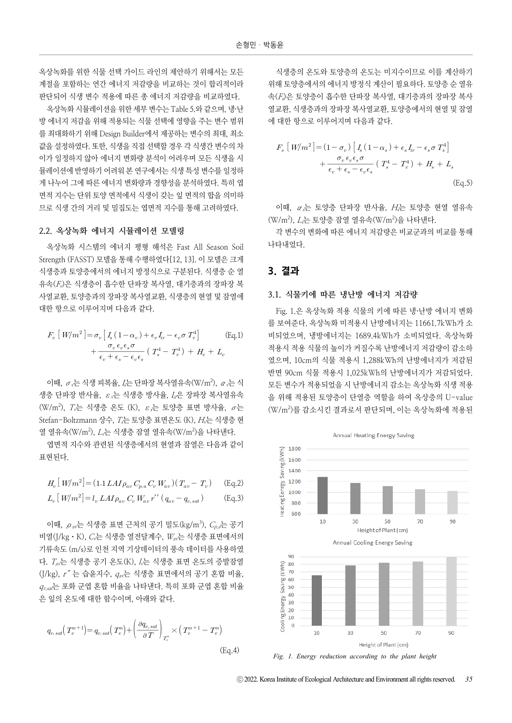옥상녹화를 위한 식물 선택 가이드 라인의 제안하기 위해서는 모든 계절을 포함하는 연간 에너지 저감량을 비교하는 것이 합리적이라 판단되어 식생 변수 적용에 따른 총 에너지 저감량을 비교하였다.

옥상녹화 시뮬레이션을 위한 세부 변수는 Table 5.와 같으며, 냉·난 방 에너지 저감을 위해 적용되는 식물 선택에 영향을 주는 변수 범위 를 최대화하기 위해 Design Builder에서 제공하는 변수의 최대, 최소 값을 설정하였다. 또한, 식생을 직접 선택할 경우 각 식생간 변수의 차 이가 일정하지 않아 에너지 변화량 분석이 어려우며 모든 식생을 시 뮬레이션에 반영하기 어려워 본 연구에서는 식생 특성 변수를 일정하 게 나누어 그에 따른 에너지 변화량과 경향성을 분석하였다. 특히 엽 면적 지수는 단위 토양 면적에서 식생이 갖는 잎 면적의 합을 의미하 므로 식생 간의 거리 및 밀집도는 엽면적 지수를 통해 고려하였다.

#### 2.2. 옥상녹화 에너지 시뮬레이션 모델링

옥상녹화 시스템의 에너지 평형 해석은 Fast All Season Soil Strength (FASST) 모델을 통해 수행하였다[12, 13]. 이 모델은 크게 식생층과 토양층에서의 에너지 방정식으로 구분된다. 식생층 순 열 유속(Fv)은 식생층이 흡수한 단파장 복사열, 대기층과의 장파장 복 사열교환, 토양층과의 장파장 복사열교환, 식생층의 현열 및 잠열에 대한 항으로 이루어지며 다음과 같다.

속(*t<sub>v</sub>*)은 식생승이 율구안 낸과상 복사설, 내기승과의 상과상 복  
·연교환, 토양 ≛과의 장파장 복사연교환, 식생승의 현연 및 감연에  
한 향으로 이루어지며 다음과 갈다.  
\n
$$
F_v [W/m^2] = \sigma_v [I_s (1 - \alpha_v) + \epsilon_v I_r - \epsilon_v \sigma T_v^4] \qquad \qquad (\text{Eq.1}) + \frac{\sigma_v \epsilon_v \epsilon_s \sigma}{\epsilon_v + \epsilon_s - \epsilon_v \epsilon_s} (T_s^4 - T_v^4) + H_v + L_v
$$

이때,  $\sigma$ ,는 식생 피복율, I,는 단파장 복사열유속(W/m<sup>2</sup>),  $\alpha$ ,는 식 생층 단파장 반사율,  $\varepsilon$ ,는 식생층 방사율,  $I_n$ 은 장파장 복사열유속  $(W/m^2)$ , T,는 식생층 온도 (K),  $\varepsilon$ ,는 토양층 표면 방사율,  $\sigma$ 는 Stefan-Boltzmann 상수,  $T = \mathbb{E}$  도양층 표면온도 (K),  $H = \Delta V$  식생층 현 열 열유속(W/m<sup>2</sup>), *L<sub>v</sub>는 식생층* 잠열 열유속(W/m<sup>2</sup>)을 나타낸다.

엽면적 지수와 관련된 식생층에서의 현열과 잠열은 다음과 같이 표현된다.

$$
H_v[W/m^2] = (1.1 LAI \rho_{av} C_{p,a} C_v W_{av}) (T_{av} - T_v)
$$
 (Eq.2)  

$$
L_v[W/m^2] = l_v LAI \rho_{av} C_v W_{av} r' (q_{av} - q_{v,sat})
$$
 (Eq.3)

이때,  $\rho_{av}$ 는 식생층 표면 근처의 공기 밀도(kg/m<sup>3</sup>),  $C_{p,a}$ 는 공기 비열(J/kg⋅K), Cv는 식생층 열전달계수, Wav는 식생층 표면에서의 기류속도 (m/s)로 인천 지역 기상데이터의 풍속 데이터를 사용하였 다.  $T_{av}$ 는 식생층 공기 온도 $(K)$ ,  $l$ ,는 식생층 표면 온도의 증발잠열  $(J/kg)$ ,  $r'' = \frac{1}{2}$  승윤지수,  $q_{av} = \frac{1}{2}$  식생층 표면에서의 공기 혼합 비율,  $q_{v,sat}$ 는 포화 군엽 혼합 비율을 나타낸다. 특히 포화 군엽 혼합 비율 은 잎의 온도에 대한 함수이며, 아래와 같다.

$$
q_{v, sat}(T_v^{n+1}) = q_{v, sat}(T_v^n) + \left(\frac{\partial q_{v, sat}}{\partial T}\right)_{T_v^n} \times (T_v^{n+1} - T_v^n)
$$
\n(Eq.4)

식생층의 온도와 토양층의 온도는 미지수이므로 이를 계산하기 위해 토양층에서의 에너지 방정식 계산이 필요하다. 토양층 순 열유 속(Fs)은 토양층이 흡수한 단파장 복사열, 대기층과의 장파장 복사 열교환, 식생층과의 장파장 복사열교환, 토양층에서의 현열 및 잠열 에 대한 항으로 이루어지며 다음과 같다.

(1)은 보양승이 윕구안 난과상 복사설, 내기승과의 상과상 복사  
교환, 식생 ≝과의 장파장 복사연교환, 토양 ≛에서의 현옐 및 감옐  
대한 향으로 이루어지며 다음과 갈다.  
\n
$$
F_s [W/m^2] = (1 - \sigma_v) [I_s (1 - \alpha_s) + \epsilon_s I_{ir} - \epsilon_s \sigma T_s^4] + \frac{\sigma_v \epsilon_v \epsilon_s \sigma}{\epsilon_v + \epsilon_s - \epsilon_v \epsilon_s} (T_s^4 - T_v^4) + H_s + L_s
$$
\n(Eq.5)

이때,  $\alpha$ 는 토양층 단파장 반사율, H는 토양층 현열 열유속 (W/m<sup>2</sup>), *L<sub>s</sub>*는 토양층 잠열 열유속(W/m<sup>2</sup>)을 나타낸다.

각 변수의 변화에 따른 에너지 저감량은 비교군과의 비교를 통해 나타내었다.

# 3. 결과

#### 3.1. 식물키에 따른 냉난방 에너지 저감량

Fig. 1.은 옥상녹화 적용 식물의 키에 따른 냉·난방 에너지 변화 를 보여준다. 옥상녹화 미적용시 난방에너지는 11661.7kWh가 소 비되었으며, 냉방에너지는 1689.4kWh가 소비되었다. 옥상녹화 적용시 적용 식물의 높이가 커질수록 난방에너지 저감량이 감소하 였으며, 10cm의 식물 적용시 1,288kWh의 난방에너지가 저감된 반면 90cm 식물 적용시 1,025kWh의 난방에너지가 저감되었다. 모든 변수가 적용되었을 시 난방에너지 감소는 옥상녹화 식생 적용 을 위해 적용된 토양층이 단열층 역할을 하여 옥상층의 U-value (W/m<sup>2</sup> )를 감소시킨 결과로서 판단되며, 이는 옥상녹화에 적용된



*Fig. 1. Energy reduction according to the plant height*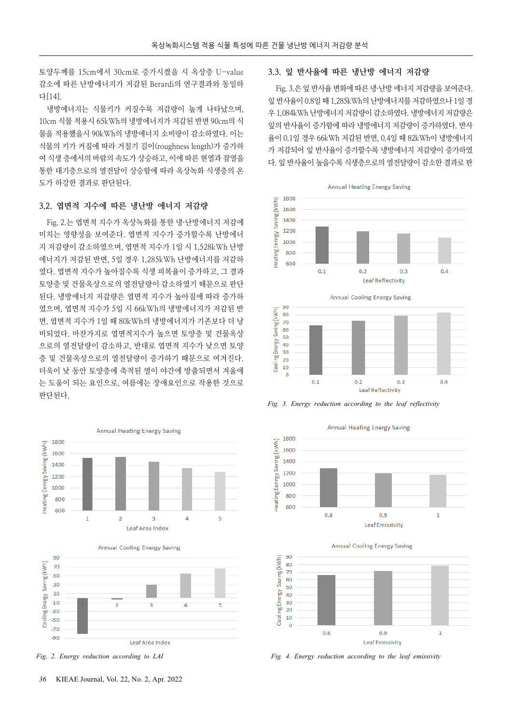토양두께를 15cm에서 30cm로 증가시켰을 시 옥상층 U-value 감소에 따른 난방에너지가 저감된 Berardi의 연구결과와 동일하 다[14].

냉방에너지는 식물키가 커질수록 저감량이 높게 나타났으며, 10cm 식물 적용시 65kWh의 냉방에너지가 저감된 반면 90cm의 식 물을 적용했을시 90kWh의 냉방에너지 소비량이 감소하였다. 이는 식물의 키가 커짐에 따라 거칠기 길이(roughness length)가 증가하 여 식생 층에서의 바람의 속도가 상승하고, 이에 따른 현열과 잠열을 통한 대기층으로의 열전달이 상승함에 따라 옥상녹화 식생층의 온 도가 하강한 결과로 판단된다.

# 3.2. 엽면적 지수에 따른 냉난방 에너지 저감량

Fig. 2.는 엽면적 지수가 옥상녹화를 통한 냉·난방에너지 저감에 미치는 영향성을 보여준다. 엽면적 지수가 증가할수록 난방에너 지 저감량이 감소하였으며, 엽면적 지수가 1일 시 1,528kWh 난방 에너지가 저감된 반면, 5일 경우 1,285kWh 난방에너지를 저감하 였다. 엽면적 지수가 높아질수록 식생 피복율이 증가하고, 그 결과 토양층 및 건물옥상으로의 열전달량이 감소하였기 때문으로 판단 된다. 냉방에너지 저감량은 엽면적 지수가 높아짐에 따라 증가하 였으며, 엽면적 지수가 5일 시 66kWh의 냉방에너지가 저감된 반 면, 엽면적 지수가 1일 때 80kWh의 냉방에너지가 기존보다 더 낭 비되었다. 마찬가지로 엽면적지수가 높으면 토양층 및 건물옥상 으로의 열전달량이 감소하고, 반대로 엽면적 지수가 낮으면 토양 층 및 건물옥상으로의 열전달량이 증가하기 때문으로 여겨진다. 더욱이 낮 동안 토양층에 축적된 열이 야간에 방출되면서 겨울에 는 도움이 되는 요인으로, 여름에는 장애요인으로 작용한 것으로 판단된다.







#### 3.3. 잎 반사율에 따른 냉난방 에너지 저감량

Fig. 3.은 잎 반사율 변화에 따른 냉·난방 에너지 저감량을 보여준다. 잎 반사율이 0.8일 때 1,285kWh의 난방에너지를 저감하였으나 1일 경 우 1,084kWh 난방에너지 저감량이 감소하였다. 냉방에너지 저감량은 잎의 반사율이 증가함에 따라 냉방에너지 저감량이 증가하였다. 반사 율이 0.1일 경우 66kWh 저감된 반면, 0.4일 때 82kWh이 냉방에너지 가 저감되어 잎 반사율이 증가할수록 냉방에너지 저감량이 증가하였 다. 잎 반사율이 높을수록 식생층으로의 열전달량이 감소한 결과로 판





*Fig. 3. Energy reduction according to the leaf reflectivity*

Annual Heating Energy Saving 1800 Heating Eenrgy Saving (kWh) 1600 1400 1200 1000 800 600  $0.8$  $0.9$  $\mathbf 1$ Leaf Emissivity

**Annual Cooling Energy Saving** 



*Fig. 2. Energy reduction according to LAI Fig. 4. Energy reduction according to the leaf emissivity*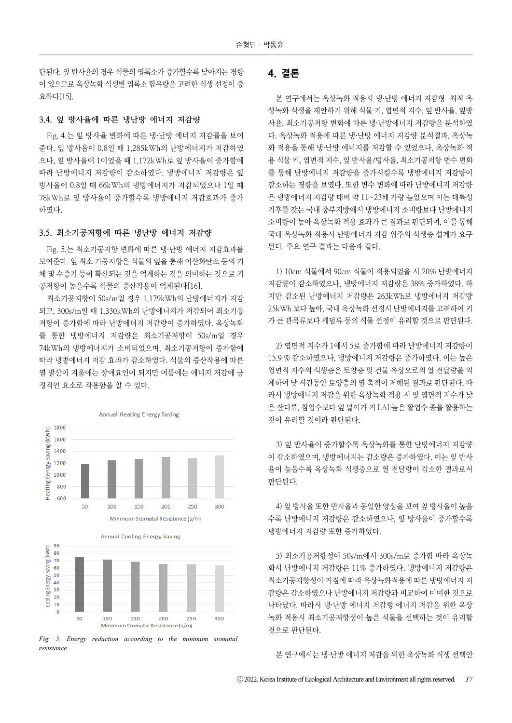단된다. 잎 반사율의 경우 식물의 엽록소가 증가할수록 낮아지는 경향 이 있으므로 옥상녹화 식생별 엽록소 함유량을 고려한 식생 선정이 중 요하다[15].

## 3.4. 잎 방사율에 따른 냉난방 에너지 저감량

Fig. 4.는 잎 방사율 변화에 따른 냉·난방 에너지 저감률을 보여 준다. 잎 방사율이 0.8일 때 1,285kWh의 난방에너지가 저감하였 으나, 잎 방사율이 1이었을 때 1,172kWh로 잎 방사율이 증가함에 따라 난방에너지 저감량이 감소하였다. 냉방에너지 저감량은 잎 방사율이 0.8일 때 66kWh의 냉방에너지가 저감되었으나 1일 때 78kWh로 잎 방사율이 증가할수록 냉방에너지 저감효과가 증가 하였다.

# 3.5. 최소기공저항에 따른 냉난방 에너지 저감량

Fig. 5.는 최소기공저항 변화에 따른 냉·난방 에너지 저감효과를 보여준다. 잎 최소 기공저항은 식물의 잎을 통해 이산화탄소 등의 기 체 및 수증기 등이 확산되는 것을 억제하는 것을 의미하는 것으로 기 공저항이 높을수록 식물의 증산작용이 억제된다[16].

최소기공저항이 50s/m일 경우 1,179kWh의 난방에너지가 저감 되고, 300s/m일 때 1,330kWh의 난방에너지가 저감되어 최소기공 저항이 증가함에 따라 난방에너지 저감량이 증가하였다. 옥상녹화 를 통한 냉방에너지 저감량은 최소기공저항이 50s/m일 경우 74kWh의 냉방에너지가 소비되었으며, 최소기공저항이 증가함에 따라 냉방에너지 저감 효과가 감소하였다. 식물의 증산작용에 따른 열 발산이 겨울에는 장애요인이 되지만 여름에는 에너지 저감에 긍 정적인 요소로 작용함을 알 수 있다.



*Fig. 5. Energy reduction according to the minimum stomatal resistance*

# 4. 결론

본 연구에서는 옥상녹화 적용시 냉·난방 에너지 저감형 최적 옥 상녹화 식생을 제안하기 위해 식물 키, 엽면적 지수, 잎 반사율, 잎방 사율, 최소기공저항 변화에 따른 냉·난방에너지 저감량을 분석하였 다. 옥상녹화 적용에 따른 냉·난방 에너지 저감량 분석결과, 옥상녹 화 적용을 통해 냉·난방 에너지를 저감할 수 있었으나, 옥상녹화 적 용 식물 키, 엽면적 지수, 잎 반사율/방사율, 최소기공저항 변수 변화 를 통해 난방에너지 저감량을 증가시킬수록 냉방에너지 저감량이 감소하는 경향을 보였다. 또한 변수 변화에 따라 난방에너지 저감량 은 냉방에너지 저감량 대비 약 11~23배 가량 높았으며 이는 대륙성 기후를 갖는 국내 중부지방에서 냉방에너지 소비량보다 난방에너지 소비량이 높아 옥상녹화 적용 효과가 큰 결과로 판단되며, 이를 통해 국내 옥상녹화 적용시 난방에너지 저감 위주의 식생층 설계가 요구 된다. 주요 연구 결과는 다음과 같다.

1) 10cm 식물에서 90cm 식물이 적용되었을 시 20% 난방에너지 저감량이 감소하였으나, 냉방에너지 저감량은 38% 증가하였다. 하 지만 감소된 난방에너지 저감량은 263kWh로 냉방에너지 저감량 25kWh 보다 높아, 국내 옥상녹화 선정시 난방에너지를 고려하여 키 가 큰 관목류보다 세덤류 등의 식물 선정이 유리할 것으로 판단된다.

2) 엽면적 지수가 1에서 5로 증가함에 따라 난방에너지 저감량이 15.9 % 감소하였으나, 냉방에너지 저감량은 증가하였다. 이는 높은 엽면적 지수의 식생층은 토양층 및 건물 옥상으로의 열 전달량을 억 제하여 낮 시간동안 토양층의 열 축적이 저해된 결과로 판단된다. 따 라서 냉방에너지 저감을 위한 옥상녹화 적용 시 잎 엽면적 지수가 낮 은 잔디류, 침엽수보다 잎 넓이가 커 LAI 높은 활엽수 종을 활용하는 것이 유리할 것이라 판단된다.

3) 잎 반사율이 증가할수록 옥상녹화를 통한 난방에너지 저감량 이 감소하였으며, 냉방에너지는 감소량은 증가하였다. 이는 잎 반사 율이 높을수록 옥상녹화 식생층으로 열 전달량이 감소한 결과로서 판단된다.

4) 잎 방사율 또한 반사율과 동일한 양상을 보여 잎 방사율이 높을 수록 난방에너지 저감량은 감소하였으나, 잎 방사율이 증가할수록 냉방에너지 저감량 또한 증가하였다.

5) 최소기공저항성이 50s/m에서 300s/m로 증가함 따라 옥상녹 화시 난방에너지 저감량은 11% 증가하였다. 냉방에너지 저감량은 최소기공저항성이 커짐에 따라 옥상녹화적용에 따른 냉방에너지 저 감량은 감소하였으나 난방에너지 저감량과 비교하여 미미한 것으로 나타났다. 따라서 냉·난방 에너지 저감형 에너지 저감을 위한 옥상 녹화 적용시 최소기공저항성이 높은 식물을 선택하는 것이 유리할 것으로 판단된다.

본 연구에서는 냉·난방 에너지 저감을 위한 옥상녹화 식생 선택안